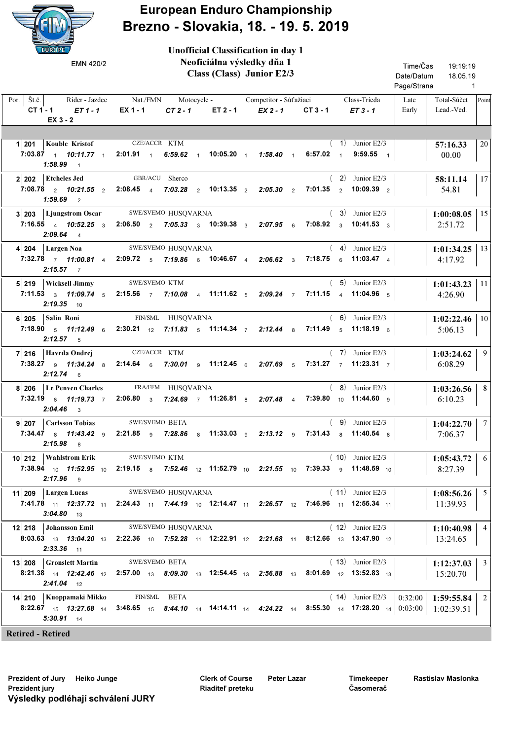

## European Enduro Championship Brezno - Slovakia, 18. - 19. 5. 2019

 Class (Class) Junior E2/3 Rider Jazdec Nat./FMN Motocycle - Competitor Súťažiaci Class-Trieda | Late | Total-Súčet Lead.-Ved. Por.  $\left| \right.$  Št.č.  $\left| \right|$  $CT 1 - 1$   $ET 1 - 1$   $EX 1 - 1$   $CT 2 - 1$   $ET 2 - 1$ 19:19:19 1 18.05.19 Time/Čas Date/Datum Page/Strana Late Early Unofficial Classification in day 1 Neoficiálna výsledky dňa 1  $EX 2 - 1$  CT3-1  $ET 3 - 1$ Point EMN 420/2 EX 3 - 2 1 201 57:16.33 Kouble Kristof KTM 00.00 CZE/ACCR KTM  $7:03.87$   $1$   $10:11.77$   $1$   $2:01.91$   $1$   $6:59.62$   $1$   $10:05.20$   $1$   $1:58.40$   $1$   $6:57.02$   $1$   $9:59.55$   $1$  $(1)$  Junior E2/3 20  $1:58.99$  1 2 202 Etcheles Jed GBR/ACU Sherco (2) Junior E2/3 1 58:11.14 54.81 Etcheles Jed GBR/ACU Sherco 7:08.78 10:21.55 2:08.45 7:03.28 10:13.35 2:05.30 7:01.35 2 2 4 2 2 2 2 2 10:09.39 ( 2) Junior E2/3 17  $1:59.69$  2  $3|203|$  Ljungstrom Oscar SWE/SVEMO HUSQVARNA (3) Junior E2/3  $|1:00:08.05$ 2:51.72 SWE/SVEMO HUSOVARNA 7:16.55 10:52.25 2:06.50 7:05.33 10:39.38 2:07.95 7:08.92 4 3 2 3 3 6 3 3 10:41.53 ( 3) Junior E2/3 15  $2:09.64$  4 4 204 1:01:34.25 SWE/SVEMO Largen Noa HUSQVARNA 4:17.92  $7:32.78$   $7$   $11:00.81$   $4$   $2:09.72$   $5$   $7:19.86$   $6$   $10:46.67$   $4$   $2:06.62$   $3$   $7:18.75$   $6$   $11:03.47$   $4$  $(4)$  Junior E2/3  $1:01:34.25$  | 13  $2:15.57$  7 **5** 219 Wicksell Jimmy SWE/SVEMO KTM (5) Junior E2/3 1:01:43.23 4:26.90 SWE/SVEMO KTM 7:11.53  $_3$  11:09.74  $_5$  2:15.56  $_7$  7:10.08  $_4$  11:11.62  $_5$  2:09.24  $_7$  7:11.15  $_4$  11:04.96  $_5$ ( 5) Junior E2/3  $1:01:43.23$  | 11  $2:19.35$  10 6 205 1:02:22.46 FIN/SML Salin Roni HUSQVARNA 5:06.13 7:18.90  $_5$  11:12.49  $_6$  2:30.21  $_{12}$  7:11.83  $_5$  11:14.34  $_7$  2:12.44  $_8$  7:11.49  $_5$  11:18.19  $_6$  $(6)$  Junior E2/3  $1:02:22.46$  | 10  $2:12.57$  5 7 216 1:03:24.62 Havrda Ondrej KTM 6:08.29 CZE/ACCR KTM 7:38.27 <sub>9</sub> 11:34.24 <sub>8</sub> 2:14.64 <sub>6</sub> 7:30.01 <sub>9</sub> 11:12.45 <sub>6</sub> 2:07.69 <sub>5</sub> 7:31.27 <sub>7</sub> 11:23.31 <sub>7</sub>  $(7)$  Junior E2/3 9  $2:12.74$  6 8 206 Le Penven Charles FRA/FFM HUSQVARNA (8) Junior E2/3  $\boxed{1:03:26.56}$ 6:10.23 Le Penven Charles FRA/FFM HUSQVARNA 7:32.19 11:19.73 2:06.80 7:24.69 11:26.81 2:07.48 7:39.80 6 7 3 7 8 4 10 9 11:44.60  $(8)$  Junior E2/3 8 2:04.46 3 **9 207 | Carlsson Tobias** SWE/SVEMO BETA (9) Junior E2/3 | 1:04:22.70 7:06.37 SWE/SVEMO BETA 7:34.47 11:43.42 2:21.85 7:28.86 11:33.03 2:13.12 7:31.43 8 9 9 8 9 9 8 8 11:40.54  $(9)$  Junior E2/3 7  $2:15.98$  8 10 212 Wahlstrom Erik SWE/SVEMO KTM (10) Junior E2/3 1:05:43.72 8:27.39 SWE/SVEMO  $7:38.94$  <sub>10</sub> 11:52.95 <sub>10</sub> 2:19.15 <sub>8</sub> 7:52.46 <sub>12</sub> 11:52.79 <sub>10</sub> 2:21.55 <sub>10</sub> 7:39.33 <sub>9</sub> 11:48.59 <sub>10</sub> ( 10) Junior E2/3 6  $2:17.96$  9 11 209 | Largen Lucas SWE/SVEMO HUSQVARNA (11) Junior E2/3 | 1:08:56.26 11:39.93 7:41.78 <sub>11</sub> 12:37.72 <sub>11</sub> 2:24.43 <sub>11</sub> 7:44.19 <sub>10</sub> 12:14.47 <sub>11</sub> 2:26.57 <sub>12</sub> 7:46.96 <sub>11</sub> 12:55.34 <sub>11</sub> ( 11) Junior E2/3 5  $3:04.80$  13 12 218 Johansson Emil SWE/SVEMO HUSQVARNA (12) Junior E2/3 1:10:40.98 13:24.65  $\bf{8:03.63}_{\color{red}\,13}$   $\bf{13:04.20}_{\color{red}\,13}$   $\bf{2:22.36}_{\color{red}\,10}$   $\bf{7:52.28}_{\color{red}\,11}$   $\bf{12:22.91}_{\color{red}\,12}$   $\bf{2:21.68}_{\color{red}\,11}$   $\bf{8:12.66}_{\color{red}\,13}$   $\bf{13:47.90}_{\color{red}\,12}$ ( 12) Junior E2/3 4  $2:33.36$  11 **13 208 Gronslett Martin** SWE/SVEMO BETA (13) Junior E2/3  $\vert$  **1:12:37.03** 15:20.70 SWE/SVEMO BETA  $8:21.38$   $_{14}$   $12.42.46$   $_{12}$   $2.57.00$   $_{13}$   $8.09.30$   $_{13}$   $12.54.45$   $_{13}$   $2.56.88$   $_{13}$   $8.01.69$   $_{12}$   $13.52.83$   $_{13}$ ( 13) Junior E2/3 3  $2:41.04$  12 14 210 | Kuoppamaki Mikko FIN/SML BETA (14) Junior E2/3 | 0:32:00 | 1:59:55.84  $\frac{1}{322.67}$   $\frac{1}{15}$  13:27.68  $\frac{1}{14}$  3:48.65  $\frac{1}{15}$  8:44.10  $\frac{1}{14}$  14:14.11  $\frac{1}{14}$  4:24.22  $\frac{1}{14}$  8:55.30  $\frac{1}{14}$  17:28.20  $\frac{1}{14}$   $\frac{1}{0.03:00}$  1:02:39.51 FIN/SML BETA  $(14)$  Junior E2/3  $\gamma$ 5:30.91 14

Retired - Retired